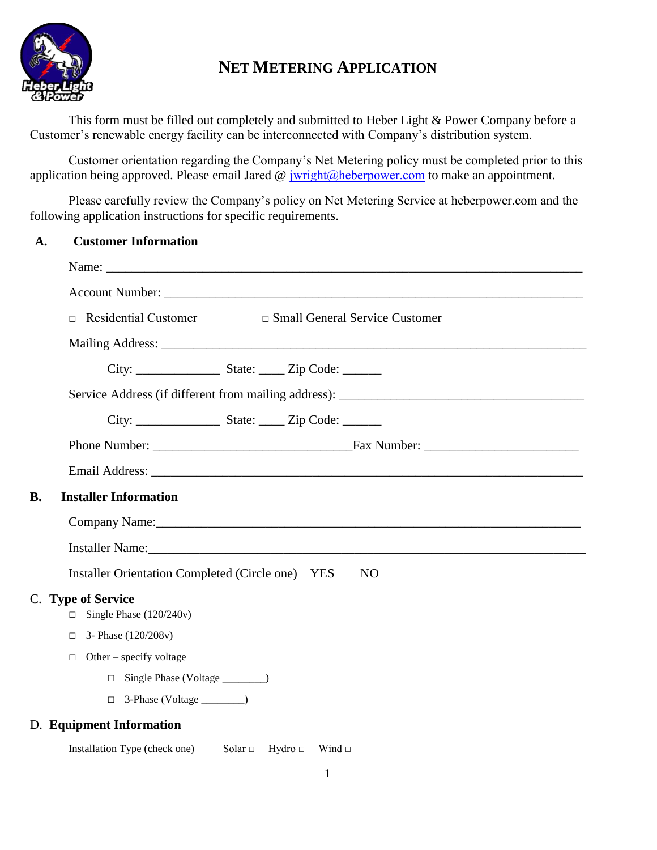

# **NET METERING APPLICATION**

This form must be filled out completely and submitted to Heber Light & Power Company before a Customer's renewable energy facility can be interconnected with Company's distribution system.

Customer orientation regarding the Company's Net Metering policy must be completed prior to this application being approved. Please email Jared  $\circleda$  [jwright@heberpower.com](mailto:ebrandt@heberpower.com) to make an appointment.

Please carefully review the Company's policy on Net Metering Service at heberpower.com and the following application instructions for specific requirements.

| A. | <b>Customer Information</b> |
|----|-----------------------------|
|    |                             |

|    | $\Box$ Residential Customer                                                                                                                                                                                                                                        |                           | □ Small General Service Customer |
|----|--------------------------------------------------------------------------------------------------------------------------------------------------------------------------------------------------------------------------------------------------------------------|---------------------------|----------------------------------|
|    |                                                                                                                                                                                                                                                                    |                           |                                  |
|    |                                                                                                                                                                                                                                                                    |                           |                                  |
|    |                                                                                                                                                                                                                                                                    |                           |                                  |
|    |                                                                                                                                                                                                                                                                    |                           |                                  |
|    |                                                                                                                                                                                                                                                                    |                           |                                  |
|    |                                                                                                                                                                                                                                                                    |                           |                                  |
| B. | <b>Installer Information</b>                                                                                                                                                                                                                                       |                           |                                  |
|    | Company Name: 2008 Company Name:<br>Installer Name: 1988 and 1988 and 1988 and 1988 and 1988 and 1988 and 1988 and 1988 and 1988 and 1988 and 1988 and 1988 and 1988 and 1988 and 1988 and 1988 and 1988 and 1988 and 1988 and 1988 and 1988 and 1988 and 1988 and |                           |                                  |
|    |                                                                                                                                                                                                                                                                    |                           |                                  |
|    | Installer Orientation Completed (Circle one) YES                                                                                                                                                                                                                   |                           | NO.                              |
|    | C. Type of Service<br>$\Box$ Single Phase (120/240v)                                                                                                                                                                                                               |                           |                                  |
|    | $\Box$ 3- Phase (120/208v)                                                                                                                                                                                                                                         |                           |                                  |
|    | $\Box$ Other – specify voltage                                                                                                                                                                                                                                     |                           |                                  |
|    |                                                                                                                                                                                                                                                                    |                           |                                  |
|    |                                                                                                                                                                                                                                                                    |                           |                                  |
|    | D. Equipment Information                                                                                                                                                                                                                                           |                           |                                  |
|    | Installation Type (check one)                                                                                                                                                                                                                                      | Solar $\Box$ Hydro $\Box$ | Wind $\Box$                      |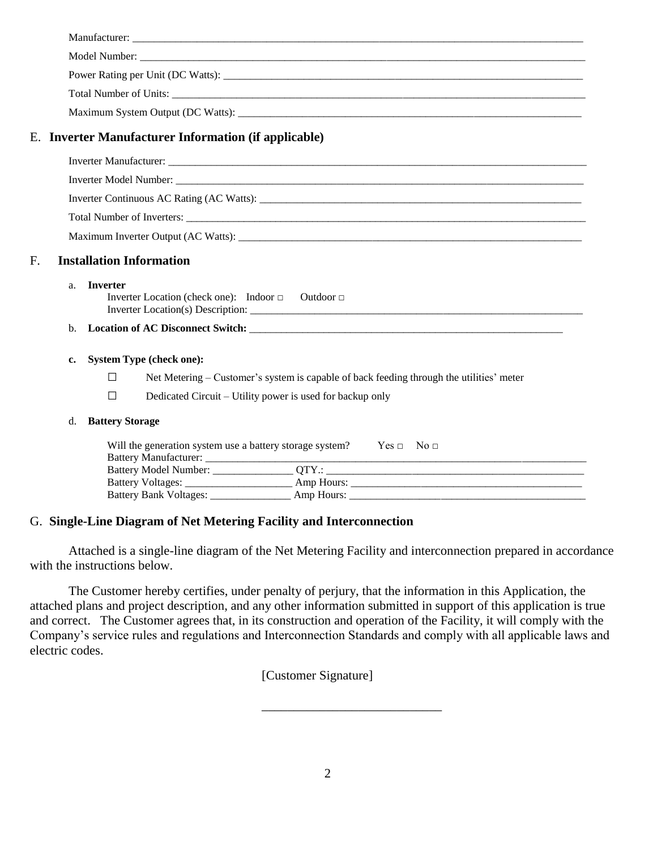|                                       |                | E. Inverter Manufacturer Information (if applicable)                                          |  |  |  |
|---------------------------------------|----------------|-----------------------------------------------------------------------------------------------|--|--|--|
|                                       |                |                                                                                               |  |  |  |
|                                       |                |                                                                                               |  |  |  |
|                                       |                |                                                                                               |  |  |  |
|                                       |                |                                                                                               |  |  |  |
|                                       |                |                                                                                               |  |  |  |
|                                       |                |                                                                                               |  |  |  |
| <b>Installation Information</b><br>F. |                |                                                                                               |  |  |  |
|                                       | a <sub>z</sub> | <b>Inverter</b><br>Inverter Location (check one): Indoor $\Box$ Outdoor $\Box$                |  |  |  |
|                                       | b.             |                                                                                               |  |  |  |
|                                       | c.             | <b>System Type (check one):</b>                                                               |  |  |  |
|                                       |                | Net Metering – Customer's system is capable of back feeding through the utilities' meter<br>□ |  |  |  |
|                                       |                | Dedicated Circuit – Utility power is used for backup only<br>□                                |  |  |  |
|                                       | d.             | <b>Battery Storage</b>                                                                        |  |  |  |
|                                       |                | Will the generation system use a battery storage system? $\qquad \qquad$ Yes $\Box$ No $\Box$ |  |  |  |
|                                       |                |                                                                                               |  |  |  |
|                                       |                |                                                                                               |  |  |  |

#### G. **Single-Line Diagram of Net Metering Facility and Interconnection**

Attached is a single-line diagram of the Net Metering Facility and interconnection prepared in accordance with the instructions below.

The Customer hereby certifies, under penalty of perjury, that the information in this Application, the attached plans and project description, and any other information submitted in support of this application is true and correct. The Customer agrees that, in its construction and operation of the Facility, it will comply with the Company's service rules and regulations and Interconnection Standards and comply with all applicable laws and electric codes.

[Customer Signature]

\_\_\_\_\_\_\_\_\_\_\_\_\_\_\_\_\_\_\_\_\_\_\_\_\_\_\_\_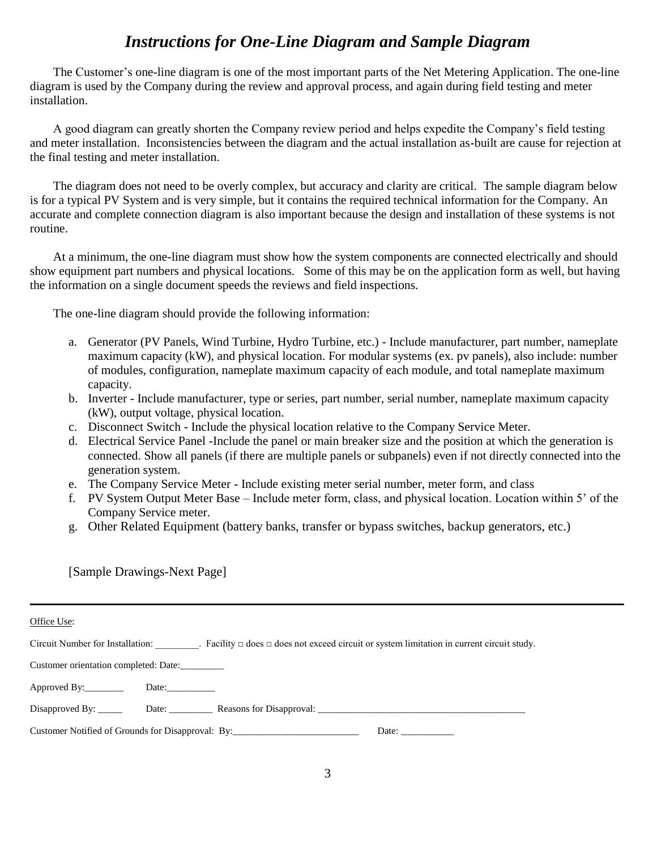## *Instructions for One-Line Diagram and Sample Diagram*

The Customer's one-line diagram is one of the most important parts of the Net Metering Application. The one-line diagram is used by the Company during the review and approval process, and again during field testing and meter installation.

A good diagram can greatly shorten the Company review period and helps expedite the Company's field testing and meter installation. Inconsistencies between the diagram and the actual installation as-built are cause for rejection at the final testing and meter installation.

The diagram does not need to be overly complex, but accuracy and clarity are critical. The sample diagram below is for a typical PV System and is very simple, but it contains the required technical information for the Company. An accurate and complete connection diagram is also important because the design and installation of these systems is not routine.

At a minimum, the one-line diagram must show how the system components are connected electrically and should show equipment part numbers and physical locations. Some of this may be on the application form as well, but having the information on a single document speeds the reviews and field inspections.

The one-line diagram should provide the following information:

- a. Generator (PV Panels, Wind Turbine, Hydro Turbine, etc.) Include manufacturer, part number, nameplate maximum capacity (kW), and physical location. For modular systems (ex. pv panels), also include: number of modules, configuration, nameplate maximum capacity of each module, and total nameplate maximum capacity.
- b. Inverter Include manufacturer, type or series, part number, serial number, nameplate maximum capacity (kW), output voltage, physical location.
- c. Disconnect Switch Include the physical location relative to the Company Service Meter.
- d. Electrical Service Panel -Include the panel or main breaker size and the position at which the generation is connected. Show all panels (if there are multiple panels or subpanels) even if not directly connected into the generation system.
- e. The Company Service Meter Include existing meter serial number, meter form, and class
- f. PV System Output Meter Base Include meter form, class, and physical location. Location within 5' of the Company Service meter.
- g. Other Related Equipment (battery banks, transfer or bypass switches, backup generators, etc.)

**\_\_\_\_\_\_\_\_\_\_\_\_\_\_\_\_\_\_\_\_\_\_\_\_\_\_\_\_\_\_\_\_\_\_\_\_\_\_\_\_\_\_\_\_\_\_\_\_\_\_\_\_\_\_\_\_\_\_\_\_\_\_\_\_\_\_\_\_\_\_\_\_\_\_\_\_\_\_\_\_\_\_\_\_\_\_\_\_\_\_\_\_\_\_\_\_\_\_\_\_\_\_\_\_\_\_\_\_\_\_\_\_\_\_\_\_\_\_\_\_\_\_\_**

[Sample Drawings-Next Page]

| Office Use:                                                                                                |                                                                                                                                     |  |  |  |
|------------------------------------------------------------------------------------------------------------|-------------------------------------------------------------------------------------------------------------------------------------|--|--|--|
|                                                                                                            | Circuit Number for Installation: Facility $\Box$ does $\Box$ does not exceed circuit or system limitation in current circuit study. |  |  |  |
| Customer orientation completed: Date:                                                                      |                                                                                                                                     |  |  |  |
| Approved By:_________                                                                                      |                                                                                                                                     |  |  |  |
|                                                                                                            | Disapproved By: Date: Date: Reasons for Disapproval:                                                                                |  |  |  |
| Customer Notified of Grounds for Disapproval: By:________________________________<br>Date: $\qquad \qquad$ |                                                                                                                                     |  |  |  |